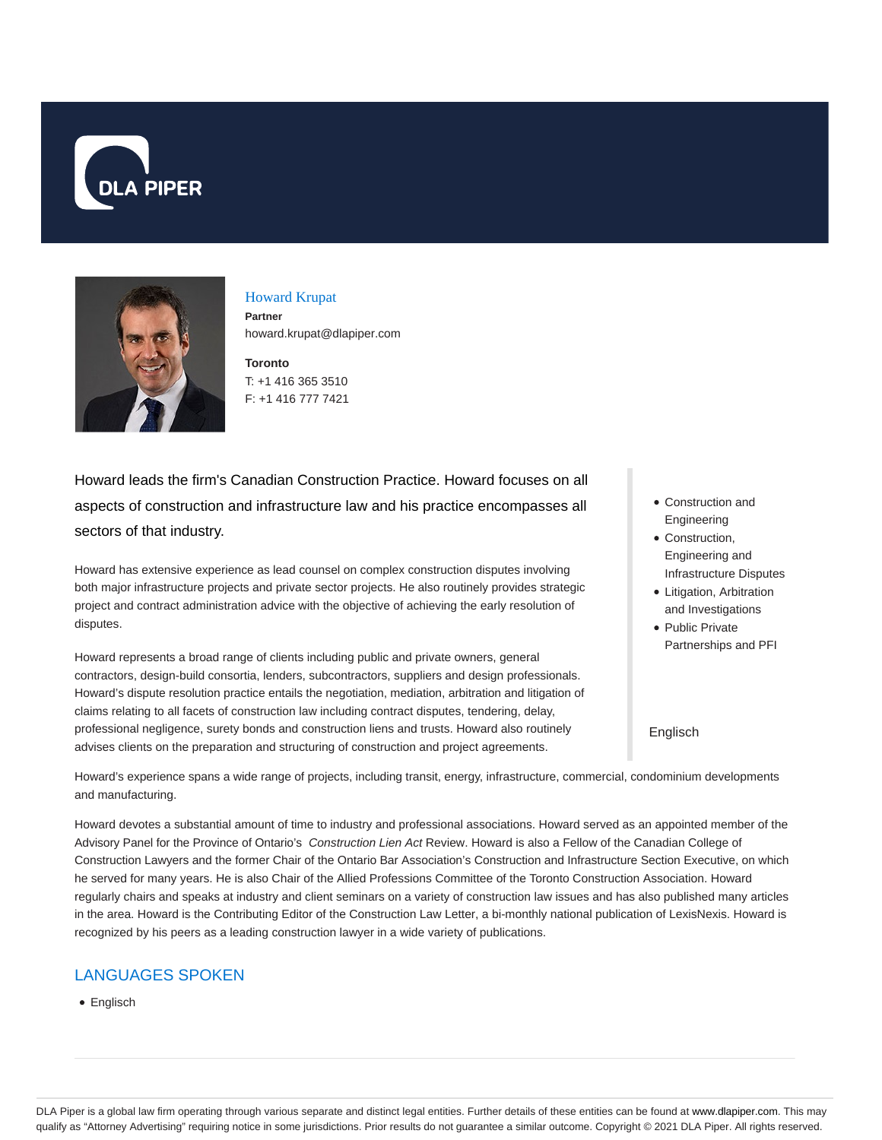



## Howard Krupat **Partner**

howard.krupat@dlapiper.com

**Toronto** T: +1 416 365 3510 F: +1 416 777 7421

Howard leads the firm's Canadian Construction Practice. Howard focuses on all aspects of construction and infrastructure law and his practice encompasses all sectors of that industry.

Howard has extensive experience as lead counsel on complex construction disputes involving both major infrastructure projects and private sector projects. He also routinely provides strategic project and contract administration advice with the objective of achieving the early resolution of disputes.

Howard represents a broad range of clients including public and private owners, general contractors, design-build consortia, lenders, subcontractors, suppliers and design professionals. Howard's dispute resolution practice entails the negotiation, mediation, arbitration and litigation of claims relating to all facets of construction law including contract disputes, tendering, delay, professional negligence, surety bonds and construction liens and trusts. Howard also routinely advises clients on the preparation and structuring of construction and project agreements.

- Construction and Engineering
- Construction, Engineering and Infrastructure Disputes
- Litigation, Arbitration and Investigations
- Public Private Partnerships and PFI

#### Englisch

Howard's experience spans a wide range of projects, including transit, energy, infrastructure, commercial, condominium developments and manufacturing.

Howard devotes a substantial amount of time to industry and professional associations. Howard served as an appointed member of the Advisory Panel for the Province of Ontario's Construction Lien Act Review. Howard is also a Fellow of the Canadian College of Construction Lawyers and the former Chair of the Ontario Bar Association's Construction and Infrastructure Section Executive, on which he served for many years. He is also Chair of the Allied Professions Committee of the Toronto Construction Association. Howard regularly chairs and speaks at industry and client seminars on a variety of construction law issues and has also published many articles in the area. Howard is the Contributing Editor of the Construction Law Letter, a bi-monthly national publication of LexisNexis. Howard is recognized by his peers as a leading construction lawyer in a wide variety of publications.

## LANGUAGES SPOKEN

• Englisch

DLA Piper is a global law firm operating through various separate and distinct legal entities. Further details of these entities can be found at www.dlapiper.com. This may qualify as "Attorney Advertising" requiring notice in some jurisdictions. Prior results do not guarantee a similar outcome. Copyright @ 2021 DLA Piper. All rights reserved.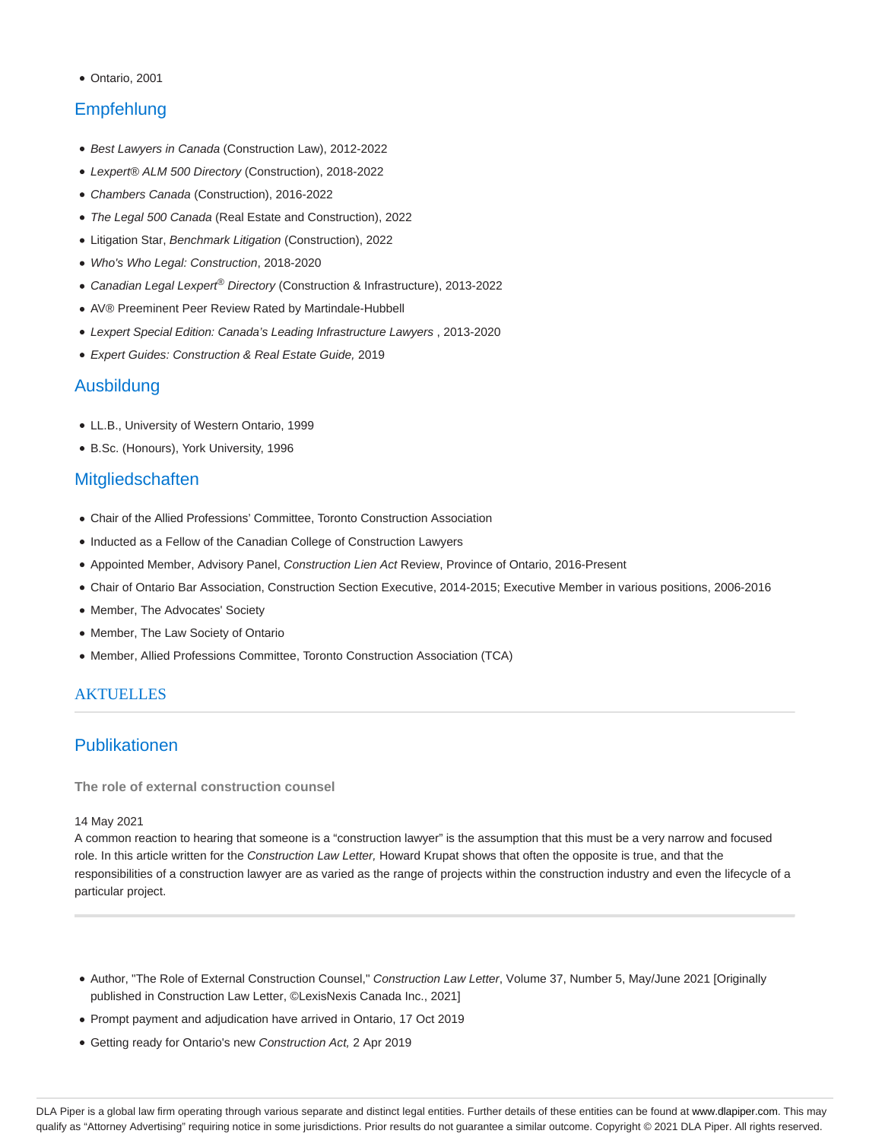Ontario, 2001

# Empfehlung

- Best Lawyers in Canada (Construction Law), 2012-2022
- Lexpert® ALM 500 Directory (Construction), 2018-2022
- Chambers Canada (Construction), 2016-2022
- The Legal 500 Canada (Real Estate and Construction), 2022
- Litigation Star, Benchmark Litigation (Construction), 2022
- Who's Who Legal: Construction, 2018-2020
- Canadian Legal Lexpert<sup>®</sup> Directory (Construction & Infrastructure), 2013-2022
- AV® Preeminent Peer Review Rated by Martindale-Hubbell
- Lexpert Special Edition: Canada's Leading Infrastructure Lawyers , 2013-2020
- Expert Guides: Construction & Real Estate Guide, 2019

## Ausbildung

- LL.B., University of Western Ontario, 1999
- B.Sc. (Honours), York University, 1996

### **Mitgliedschaften**

- Chair of the Allied Professions' Committee, Toronto Construction Association
- Inducted as a Fellow of the Canadian College of Construction Lawyers
- Appointed Member, Advisory Panel, Construction Lien Act Review, Province of Ontario, 2016-Present
- Chair of Ontario Bar Association, Construction Section Executive, 2014-2015; Executive Member in various positions, 2006-2016
- Member, The Advocates' Society
- Member, The Law Society of Ontario
- Member, Allied Professions Committee, Toronto Construction Association (TCA)

### **AKTUELLES**

## Publikationen

**The role of external construction counsel**

#### 14 May 2021

A common reaction to hearing that someone is a "construction lawyer" is the assumption that this must be a very narrow and focused role. In this article written for the Construction Law Letter, Howard Krupat shows that often the opposite is true, and that the responsibilities of a construction lawyer are as varied as the range of projects within the construction industry and even the lifecycle of a particular project.

- Author, "The Role of External Construction Counsel," Construction Law Letter, Volume 37, Number 5, May/June 2021 [Originally published in Construction Law Letter, ©LexisNexis Canada Inc., 2021]
- Prompt payment and adjudication have arrived in Ontario, 17 Oct 2019
- Getting ready for Ontario's new Construction Act, 2 Apr 2019

DLA Piper is a global law firm operating through various separate and distinct legal entities. Further details of these entities can be found at www.dlapiper.com. This may qualify as "Attorney Advertising" requiring notice in some jurisdictions. Prior results do not guarantee a similar outcome. Copyright © 2021 DLA Piper. All rights reserved.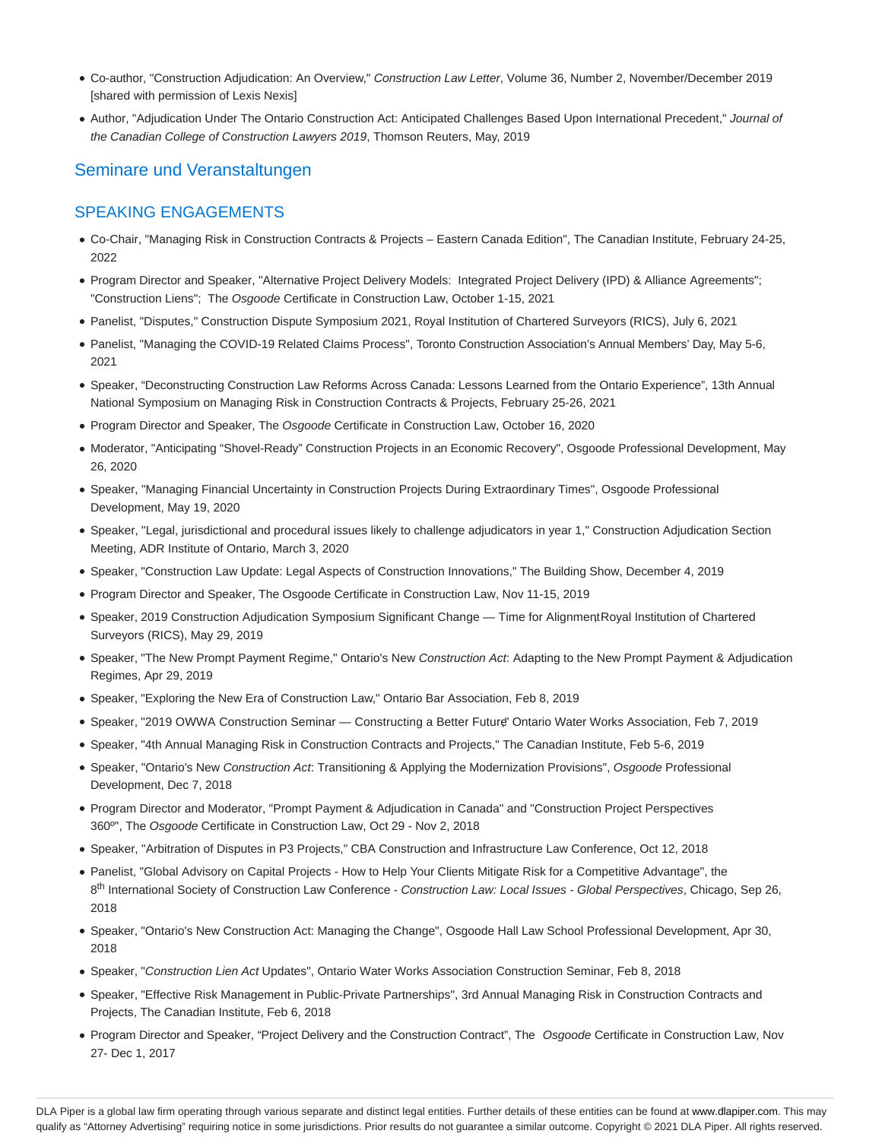- Co-author, "Construction Adjudication: An Overview," Construction Law Letter, Volume 36, Number 2, November/December 2019 [shared with permission of Lexis Nexis]
- Author, "Adjudication Under The Ontario Construction Act: Anticipated Challenges Based Upon International Precedent," Journal of the Canadian College of Construction Lawyers 2019, Thomson Reuters, May, 2019

## Seminare und Veranstaltungen

### SPEAKING ENGAGEMENTS

- Co-Chair, "Managing Risk in Construction Contracts & Projects Eastern Canada Edition", The Canadian Institute, February 24-25, 2022
- Program Director and Speaker, "Alternative Project Delivery Models: Integrated Project Delivery (IPD) & Alliance Agreements"; "Construction Liens"; The Osgoode Certificate in Construction Law, October 1-15, 2021
- Panelist, "Disputes," Construction Dispute Symposium 2021, Royal Institution of Chartered Surveyors (RICS), July 6, 2021
- Panelist, "Managing the COVID-19 Related Claims Process", Toronto Construction Association's Annual Members' Day, May 5-6, 2021
- Speaker, "Deconstructing Construction Law Reforms Across Canada: Lessons Learned from the Ontario Experience", 13th Annual National Symposium on Managing Risk in Construction Contracts & Projects, February 25-26, 2021
- Program Director and Speaker, The Osgoode Certificate in Construction Law, October 16, 2020
- Moderator, "Anticipating "Shovel-Ready" Construction Projects in an Economic Recovery", Osgoode Professional Development, May 26, 2020
- Speaker, "Managing Financial Uncertainty in Construction Projects During Extraordinary Times", Osgoode Professional Development, May 19, 2020
- Speaker, "Legal, jurisdictional and procedural issues likely to challenge adjudicators in year 1," Construction Adjudication Section Meeting, ADR Institute of Ontario, March 3, 2020
- Speaker, "Construction Law Update: Legal Aspects of Construction Innovations," The Building Show, December 4, 2019
- Program Director and Speaker, The Osgoode Certificate in Construction Law, Nov 11-15, 2019
- Speaker, 2019 Construction Adjudication Symposium Significant Change Time for Alignment, Royal Institution of Chartered Surveyors (RICS), May 29, 2019
- . Speaker, "The New Prompt Payment Regime," Ontario's New Construction Act: Adapting to the New Prompt Payment & Adjudication Regimes, Apr 29, 2019
- Speaker, "Exploring the New Era of Construction Law," Ontario Bar Association, Feb 8, 2019
- · Speaker, "2019 OWWA Construction Seminar Constructing a Better Future" Ontario Water Works Association, Feb 7, 2019
- Speaker, "4th Annual Managing Risk in Construction Contracts and Projects," The Canadian Institute, Feb 5-6, 2019
- Speaker, "Ontario's New Construction Act: Transitioning & Applying the Modernization Provisions", Osgoode Professional Development, Dec 7, 2018
- Program Director and Moderator, "Prompt Payment & Adjudication in Canada" and "Construction Project Perspectives 360º", The Osgoode Certificate in Construction Law, Oct 29 - Nov 2, 2018
- Speaker, "Arbitration of Disputes in P3 Projects," CBA Construction and Infrastructure Law Conference, Oct 12, 2018
- Panelist, "Global Advisory on Capital Projects How to Help Your Clients Mitigate Risk for a Competitive Advantage", the 8<sup>th</sup> International Society of Construction Law Conference - Construction Law: Local Issues - Global Perspectives, Chicago, Sep 26, 2018
- Speaker, "Ontario's New Construction Act: Managing the Change", Osgoode Hall Law School Professional Development, Apr 30, 2018
- Speaker, "Construction Lien Act Updates", Ontario Water Works Association Construction Seminar, Feb 8, 2018
- Speaker, "Effective Risk Management in Public-Private Partnerships", 3rd Annual Managing Risk in Construction Contracts and Projects, The Canadian Institute, Feb 6, 2018
- Program Director and Speaker, "Project Delivery and the Construction Contract", The Osgoode Certificate in Construction Law, Nov 27- Dec 1, 2017